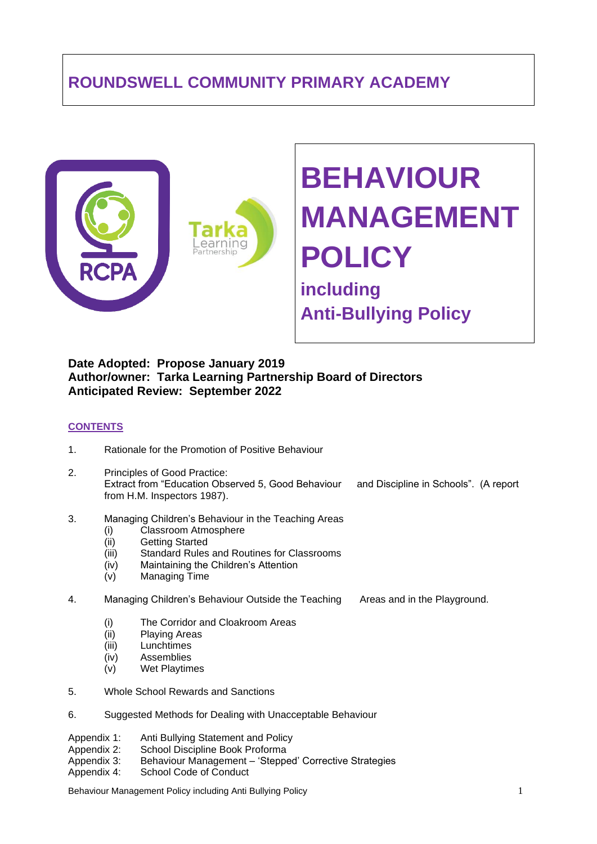# **ROUNDSWELL COMMUNITY PRIMARY ACADEMY**



### **Date Adopted: Propose January 2019 Author/owner: Tarka Learning Partnership Board of Directors Anticipated Review: September 2022**

### **CONTENTS**

- 1. Rationale for the Promotion of Positive Behaviour
- 2. Principles of Good Practice: Extract from "Education Observed 5, Good Behaviour and Discipline in Schools". (A report from H.M. Inspectors 1987).
- 3. Managing Children's Behaviour in the Teaching Areas
	- (i) Classroom Atmosphere
	- (ii) Getting Started
	- (iii) Standard Rules and Routines for Classrooms
	- (iv) Maintaining the Children's Attention
	- (v) Managing Time

4. Managing Children's Behaviour Outside the Teaching Areas and in the Playground.

- (i) The Corridor and Cloakroom Areas
- (ii) Playing Areas
- (iii) Lunchtimes
- (iv) Assemblies
- (v) Wet Playtimes
- 5. Whole School Rewards and Sanctions
- 6. Suggested Methods for Dealing with Unacceptable Behaviour
- Appendix 1: Anti Bullying Statement and Policy
- Appendix 2: School Discipline Book Proforma
- Appendix 3: Behaviour Management 'Stepped' Corrective Strategies<br>Appendix 4: School Code of Conduct
- School Code of Conduct

Behaviour Management Policy including Anti Bullying Policy 1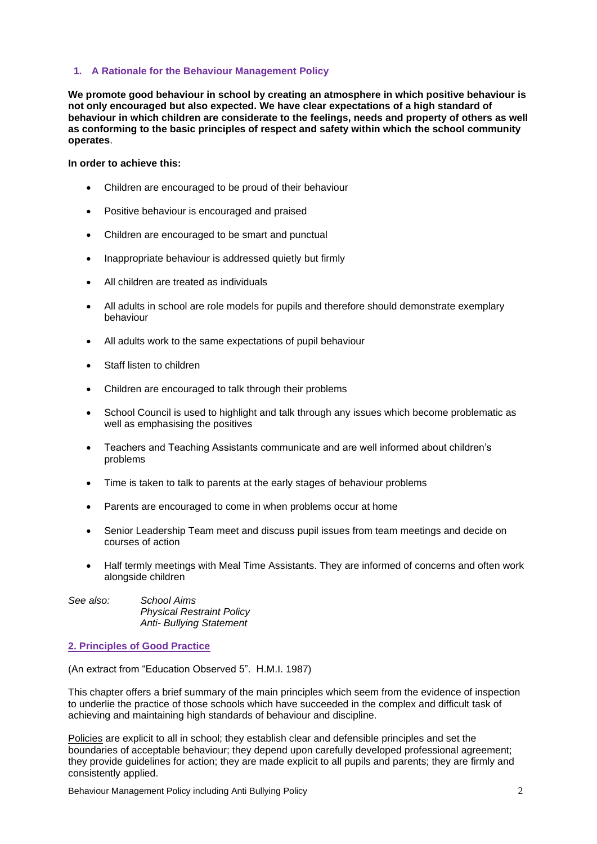### **1. A Rationale for the Behaviour Management Policy**

**We promote good behaviour in school by creating an atmosphere in which positive behaviour is not only encouraged but also expected. We have clear expectations of a high standard of behaviour in which children are considerate to the feelings, needs and property of others as well as conforming to the basic principles of respect and safety within which the school community operates**.

#### **In order to achieve this:**

- Children are encouraged to be proud of their behaviour
- Positive behaviour is encouraged and praised
- Children are encouraged to be smart and punctual
- Inappropriate behaviour is addressed quietly but firmly
- All children are treated as individuals
- All adults in school are role models for pupils and therefore should demonstrate exemplary behaviour
- All adults work to the same expectations of pupil behaviour
- Staff listen to children
- Children are encouraged to talk through their problems
- School Council is used to highlight and talk through any issues which become problematic as well as emphasising the positives
- Teachers and Teaching Assistants communicate and are well informed about children's problems
- Time is taken to talk to parents at the early stages of behaviour problems
- Parents are encouraged to come in when problems occur at home
- Senior Leadership Team meet and discuss pupil issues from team meetings and decide on courses of action
- Half termly meetings with Meal Time Assistants. They are informed of concerns and often work alongside children

*See also: School Aims Physical Restraint Policy Anti- Bullying Statement*

### **2. Principles of Good Practice**

(An extract from "Education Observed 5". H.M.I. 1987)

This chapter offers a brief summary of the main principles which seem from the evidence of inspection to underlie the practice of those schools which have succeeded in the complex and difficult task of achieving and maintaining high standards of behaviour and discipline.

Policies are explicit to all in school; they establish clear and defensible principles and set the boundaries of acceptable behaviour; they depend upon carefully developed professional agreement; they provide guidelines for action; they are made explicit to all pupils and parents; they are firmly and consistently applied.

Behaviour Management Policy including Anti Bullying Policy 2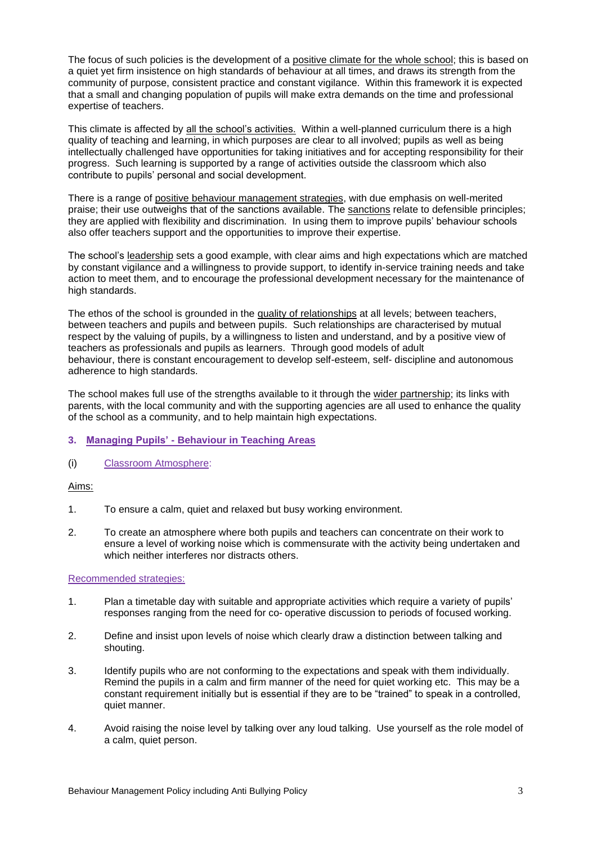The focus of such policies is the development of a positive climate for the whole school; this is based on a quiet yet firm insistence on high standards of behaviour at all times, and draws its strength from the community of purpose, consistent practice and constant vigilance. Within this framework it is expected that a small and changing population of pupils will make extra demands on the time and professional expertise of teachers.

This climate is affected by all the school's activities. Within a well-planned curriculum there is a high quality of teaching and learning, in which purposes are clear to all involved; pupils as well as being intellectually challenged have opportunities for taking initiatives and for accepting responsibility for their progress. Such learning is supported by a range of activities outside the classroom which also contribute to pupils' personal and social development.

There is a range of positive behaviour management strategies, with due emphasis on well-merited praise; their use outweighs that of the sanctions available. The sanctions relate to defensible principles; they are applied with flexibility and discrimination. In using them to improve pupils' behaviour schools also offer teachers support and the opportunities to improve their expertise.

The school's leadership sets a good example, with clear aims and high expectations which are matched by constant vigilance and a willingness to provide support, to identify in-service training needs and take action to meet them, and to encourage the professional development necessary for the maintenance of high standards.

The ethos of the school is grounded in the quality of relationships at all levels; between teachers, between teachers and pupils and between pupils. Such relationships are characterised by mutual respect by the valuing of pupils, by a willingness to listen and understand, and by a positive view of teachers as professionals and pupils as learners. Through good models of adult behaviour, there is constant encouragement to develop self-esteem, self- discipline and autonomous adherence to high standards.

The school makes full use of the strengths available to it through the wider partnership; its links with parents, with the local community and with the supporting agencies are all used to enhance the quality of the school as a community, and to help maintain high expectations.

### **3. Managing Pupils' - Behaviour in Teaching Areas**

(i) Classroom Atmosphere:

### Aims:

- 1. To ensure a calm, quiet and relaxed but busy working environment.
- 2. To create an atmosphere where both pupils and teachers can concentrate on their work to ensure a level of working noise which is commensurate with the activity being undertaken and which neither interferes nor distracts others.

### Recommended strategies:

- 1. Plan a timetable day with suitable and appropriate activities which require a variety of pupils' responses ranging from the need for co- operative discussion to periods of focused working.
- 2. Define and insist upon levels of noise which clearly draw a distinction between talking and shouting.
- 3. Identify pupils who are not conforming to the expectations and speak with them individually. Remind the pupils in a calm and firm manner of the need for quiet working etc. This may be a constant requirement initially but is essential if they are to be "trained" to speak in a controlled, quiet manner.
- 4. Avoid raising the noise level by talking over any loud talking. Use yourself as the role model of a calm, quiet person.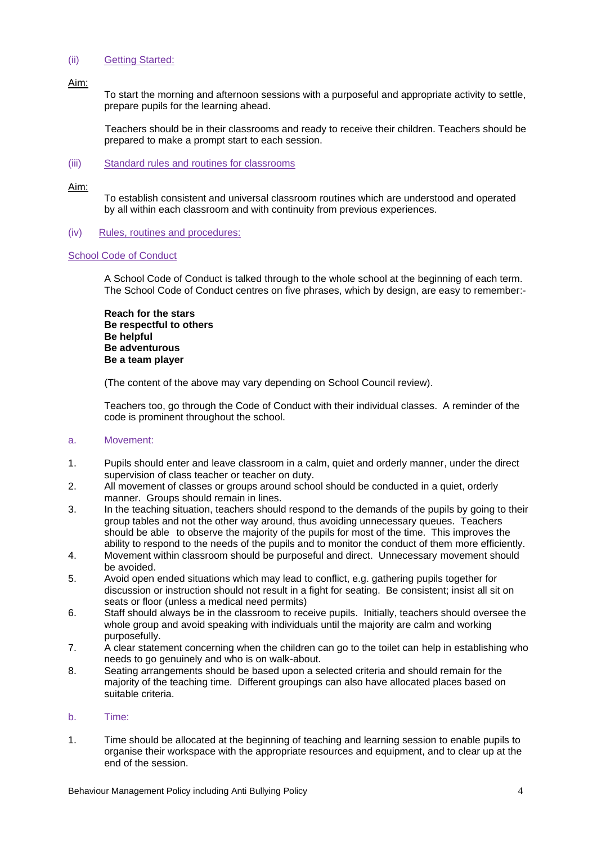### (ii) Getting Started:

Aim:

To start the morning and afternoon sessions with a purposeful and appropriate activity to settle, prepare pupils for the learning ahead.

Teachers should be in their classrooms and ready to receive their children. Teachers should be prepared to make a prompt start to each session.

### (iii) Standard rules and routines for classrooms

Aim:

To establish consistent and universal classroom routines which are understood and operated by all within each classroom and with continuity from previous experiences.

(iv) Rules, routines and procedures:

### School Code of Conduct

A School Code of Conduct is talked through to the whole school at the beginning of each term. The School Code of Conduct centres on five phrases, which by design, are easy to remember:-

**Reach for the stars Be respectful to others Be helpful Be adventurous Be a team player**

(The content of the above may vary depending on School Council review).

Teachers too, go through the Code of Conduct with their individual classes. A reminder of the code is prominent throughout the school.

### a. Movement:

- 1. Pupils should enter and leave classroom in a calm, quiet and orderly manner, under the direct supervision of class teacher or teacher on duty.
- 2. All movement of classes or groups around school should be conducted in a quiet, orderly manner. Groups should remain in lines.
- 3. In the teaching situation, teachers should respond to the demands of the pupils by going to their group tables and not the other way around, thus avoiding unnecessary queues. Teachers should be able to observe the majority of the pupils for most of the time. This improves the ability to respond to the needs of the pupils and to monitor the conduct of them more efficiently.
- 4. Movement within classroom should be purposeful and direct. Unnecessary movement should be avoided.
- 5. Avoid open ended situations which may lead to conflict, e.g. gathering pupils together for discussion or instruction should not result in a fight for seating. Be consistent; insist all sit on seats or floor (unless a medical need permits)
- 6. Staff should always be in the classroom to receive pupils. Initially, teachers should oversee the whole group and avoid speaking with individuals until the majority are calm and working purposefully.
- 7. A clear statement concerning when the children can go to the toilet can help in establishing who needs to go genuinely and who is on walk-about.
- 8. Seating arrangements should be based upon a selected criteria and should remain for the majority of the teaching time. Different groupings can also have allocated places based on suitable criteria.

### b. Time:

1. Time should be allocated at the beginning of teaching and learning session to enable pupils to organise their workspace with the appropriate resources and equipment, and to clear up at the end of the session.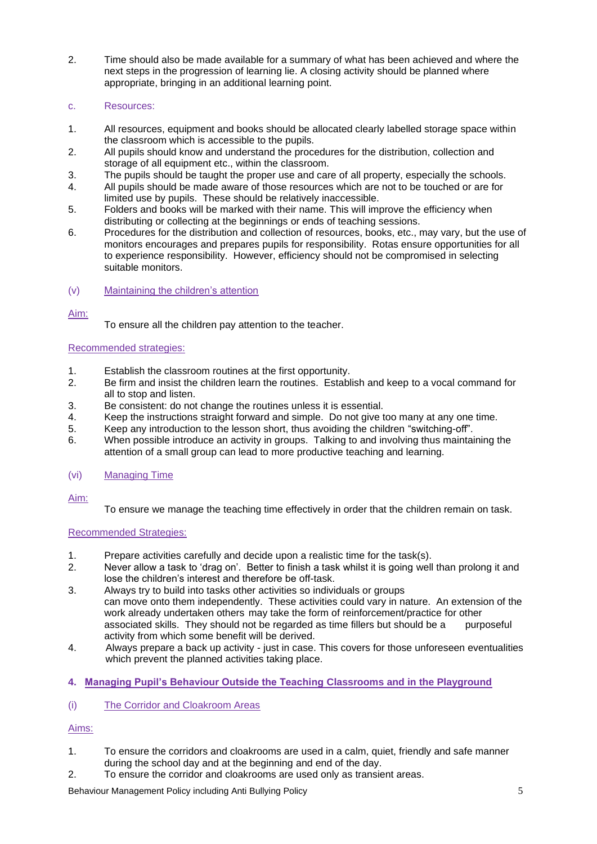2. Time should also be made available for a summary of what has been achieved and where the next steps in the progression of learning lie. A closing activity should be planned where appropriate, bringing in an additional learning point.

### c. Resources:

- 1. All resources, equipment and books should be allocated clearly labelled storage space within the classroom which is accessible to the pupils.
- 2. All pupils should know and understand the procedures for the distribution, collection and storage of all equipment etc., within the classroom.
- 3. The pupils should be taught the proper use and care of all property, especially the schools.<br>4. All pupils should be made aware of those resources which are not to be touched or are for
- 4. All pupils should be made aware of those resources which are not to be touched or are for limited use by pupils. These should be relatively inaccessible.
- 5. Folders and books will be marked with their name. This will improve the efficiency when distributing or collecting at the beginnings or ends of teaching sessions.
- 6. Procedures for the distribution and collection of resources, books, etc., may vary, but the use of monitors encourages and prepares pupils for responsibility. Rotas ensure opportunities for all to experience responsibility. However, efficiency should not be compromised in selecting suitable monitors.

### (v) Maintaining the children's attention

### Aim:

To ensure all the children pay attention to the teacher.

### Recommended strategies:

- 1. Establish the classroom routines at the first opportunity.
- 2. Be firm and insist the children learn the routines. Establish and keep to a vocal command for all to stop and listen.
- 3. Be consistent: do not change the routines unless it is essential.
- 4. Keep the instructions straight forward and simple. Do not give too many at any one time.
- 5. Keep any introduction to the lesson short, thus avoiding the children "switching-off".
- When possible introduce an activity in groups. Talking to and involving thus maintaining the attention of a small group can lead to more productive teaching and learning.

### (vi) Managing Time

### Aim:

To ensure we manage the teaching time effectively in order that the children remain on task.

### Recommended Strategies:

- 1. Prepare activities carefully and decide upon a realistic time for the task(s).<br>2. Never allow a task to 'drag on'. Better to finish a task whilst it is going well
- Never allow a task to 'drag on'. Better to finish a task whilst it is going well than prolong it and lose the children's interest and therefore be off-task.
- 3. Always try to build into tasks other activities so individuals or groups can move onto them independently. These activities could vary in nature. An extension of the work already undertaken others may take the form of reinforcement/practice for other associated skills. They should not be regarded as time fillers but should be a purposeful activity from which some benefit will be derived.
- 4. Always prepare a back up activity just in case. This covers for those unforeseen eventualities which prevent the planned activities taking place.
- **4. Managing Pupil's Behaviour Outside the Teaching Classrooms and in the Playground**
- (i) The Corridor and Cloakroom Areas

### Aims:

- 1. To ensure the corridors and cloakrooms are used in a calm, quiet, friendly and safe manner during the school day and at the beginning and end of the day.
- 2. To ensure the corridor and cloakrooms are used only as transient areas.

Behaviour Management Policy including Anti Bullying Policy **5 5**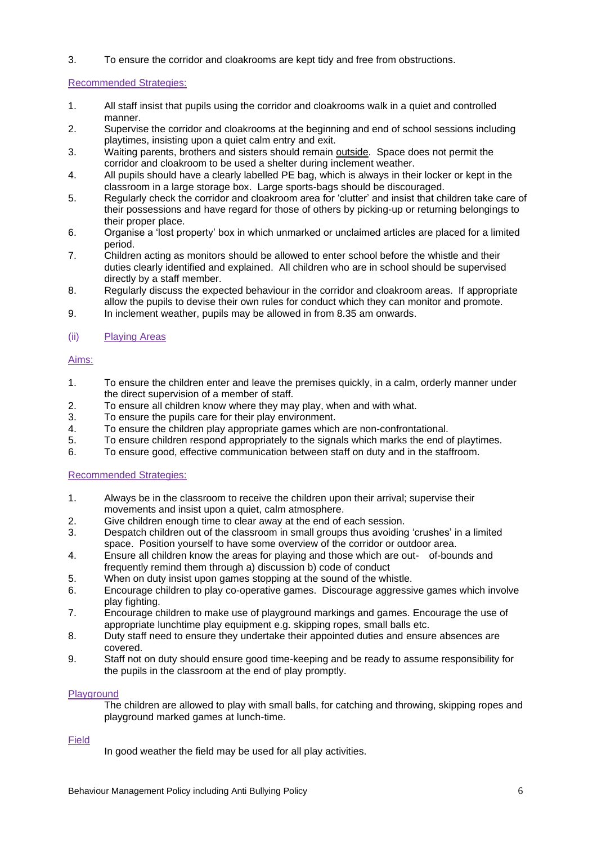3. To ensure the corridor and cloakrooms are kept tidy and free from obstructions.

### Recommended Strategies:

- 1. All staff insist that pupils using the corridor and cloakrooms walk in a quiet and controlled manner.
- 2. Supervise the corridor and cloakrooms at the beginning and end of school sessions including playtimes, insisting upon a quiet calm entry and exit.
- 3. Waiting parents, brothers and sisters should remain outside. Space does not permit the corridor and cloakroom to be used a shelter during inclement weather.
- 4. All pupils should have a clearly labelled PE bag, which is always in their locker or kept in the classroom in a large storage box. Large sports-bags should be discouraged.
- 5. Regularly check the corridor and cloakroom area for 'clutter' and insist that children take care of their possessions and have regard for those of others by picking-up or returning belongings to their proper place.
- 6. Organise a 'lost property' box in which unmarked or unclaimed articles are placed for a limited period.
- 7. Children acting as monitors should be allowed to enter school before the whistle and their duties clearly identified and explained. All children who are in school should be supervised directly by a staff member.
- 8. Regularly discuss the expected behaviour in the corridor and cloakroom areas. If appropriate allow the pupils to devise their own rules for conduct which they can monitor and promote.
- 9. In inclement weather, pupils may be allowed in from 8.35 am onwards.

### (ii) Playing Areas

### Aims:

- 1. To ensure the children enter and leave the premises quickly, in a calm, orderly manner under the direct supervision of a member of staff.
- 2. To ensure all children know where they may play, when and with what.
- 3. To ensure the pupils care for their play environment.
- 4. To ensure the children play appropriate games which are non-confrontational.<br>5. To ensure children respond appropriately to the signals which marks the end c
- 5. To ensure children respond appropriately to the signals which marks the end of playtimes.
- 6. To ensure good, effective communication between staff on duty and in the staffroom.

### Recommended Strategies:

- 1. Always be in the classroom to receive the children upon their arrival; supervise their movements and insist upon a quiet, calm atmosphere.
- 2. Give children enough time to clear away at the end of each session.
- 3. Despatch children out of the classroom in small groups thus avoiding 'crushes' in a limited space. Position yourself to have some overview of the corridor or outdoor area.
- 4. Ensure all children know the areas for playing and those which are out- of-bounds and frequently remind them through a) discussion b) code of conduct
- 5. When on duty insist upon games stopping at the sound of the whistle.
- 6. Encourage children to play co-operative games. Discourage aggressive games which involve play fighting.
- 7. Encourage children to make use of playground markings and games. Encourage the use of appropriate lunchtime play equipment e.g. skipping ropes, small balls etc.
- 8. Duty staff need to ensure they undertake their appointed duties and ensure absences are covered.
- 9. Staff not on duty should ensure good time-keeping and be ready to assume responsibility for the pupils in the classroom at the end of play promptly.

### Playground

The children are allowed to play with small balls, for catching and throwing, skipping ropes and playground marked games at lunch-time.

### Field

In good weather the field may be used for all play activities.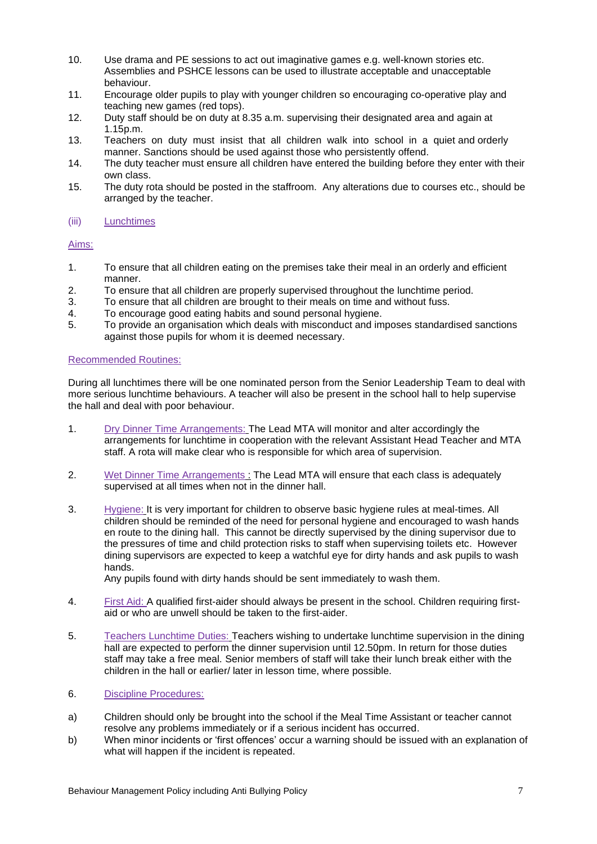- 10. Use drama and PE sessions to act out imaginative games e.g. well-known stories etc. Assemblies and PSHCE lessons can be used to illustrate acceptable and unacceptable behaviour.
- 11. Encourage older pupils to play with younger children so encouraging co-operative play and teaching new games (red tops).
- 12. Duty staff should be on duty at 8.35 a.m. supervising their designated area and again at 1.15p.m.
- 13. Teachers on duty must insist that all children walk into school in a quiet and orderly manner. Sanctions should be used against those who persistently offend.
- 14. The duty teacher must ensure all children have entered the building before they enter with their own class.
- 15. The duty rota should be posted in the staffroom. Any alterations due to courses etc., should be arranged by the teacher.
- (iii) Lunchtimes

### Aims:

- 1. To ensure that all children eating on the premises take their meal in an orderly and efficient manner.
- 2. To ensure that all children are properly supervised throughout the lunchtime period.<br>3. To ensure that all children are brought to their meals on time and without fuss.
- 3. To ensure that all children are brought to their meals on time and without fuss.<br>4. To encourage good eating habits and sound personal hygiene.
- 4. To encourage good eating habits and sound personal hygiene.<br>5. To provide an organisation which deals with misconduct and im
- 5. To provide an organisation which deals with misconduct and imposes standardised sanctions against those pupils for whom it is deemed necessary.

### Recommended Routines:

During all lunchtimes there will be one nominated person from the Senior Leadership Team to deal with more serious lunchtime behaviours. A teacher will also be present in the school hall to help supervise the hall and deal with poor behaviour.

- 1. Dry Dinner Time Arrangements: The Lead MTA will monitor and alter accordingly the arrangements for lunchtime in cooperation with the relevant Assistant Head Teacher and MTA staff. A rota will make clear who is responsible for which area of supervision.
- 2. Wet Dinner Time Arrangements : The Lead MTA will ensure that each class is adequately supervised at all times when not in the dinner hall.
- 3. Hygiene: It is very important for children to observe basic hygiene rules at meal-times. All children should be reminded of the need for personal hygiene and encouraged to wash hands en route to the dining hall. This cannot be directly supervised by the dining supervisor due to the pressures of time and child protection risks to staff when supervising toilets etc. However dining supervisors are expected to keep a watchful eye for dirty hands and ask pupils to wash hands.

Any pupils found with dirty hands should be sent immediately to wash them.

- 4. First Aid: A qualified first-aider should always be present in the school. Children requiring firstaid or who are unwell should be taken to the first-aider.
- 5. Teachers Lunchtime Duties: Teachers wishing to undertake lunchtime supervision in the dining hall are expected to perform the dinner supervision until 12.50pm. In return for those duties staff may take a free meal. Senior members of staff will take their lunch break either with the children in the hall or earlier/ later in lesson time, where possible.
- 6. Discipline Procedures:
- a) Children should only be brought into the school if the Meal Time Assistant or teacher cannot resolve any problems immediately or if a serious incident has occurred.
- b) When minor incidents or 'first offences' occur a warning should be issued with an explanation of what will happen if the incident is repeated.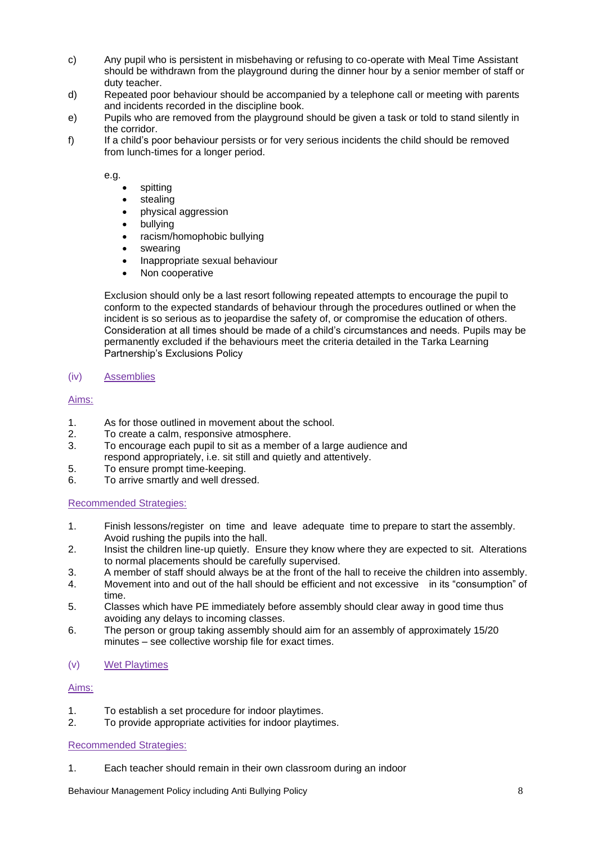- c) Any pupil who is persistent in misbehaving or refusing to co-operate with Meal Time Assistant should be withdrawn from the playground during the dinner hour by a senior member of staff or duty teacher.
- d) Repeated poor behaviour should be accompanied by a telephone call or meeting with parents and incidents recorded in the discipline book.
- e) Pupils who are removed from the playground should be given a task or told to stand silently in the corridor.
- f) If a child's poor behaviour persists or for very serious incidents the child should be removed from lunch-times for a longer period.

e.g.

- **spitting**
- **stealing**
- physical aggression
- bullying
- racism/homophobic bullying
- swearing
- Inappropriate sexual behaviour
- Non cooperative

Exclusion should only be a last resort following repeated attempts to encourage the pupil to conform to the expected standards of behaviour through the procedures outlined or when the incident is so serious as to jeopardise the safety of, or compromise the education of others. Consideration at all times should be made of a child's circumstances and needs. Pupils may be permanently excluded if the behaviours meet the criteria detailed in the Tarka Learning Partnership's Exclusions Policy

### (iv) Assemblies

### Aims:

- 1. As for those outlined in movement about the school.<br>2. To create a calm. responsive atmosphere.
- To create a calm, responsive atmosphere.
- 3. To encourage each pupil to sit as a member of a large audience and respond appropriately, i.e. sit still and quietly and attentively.
- 5. To ensure prompt time-keeping.
- 6. To arrive smartly and well dressed.

### Recommended Strategies:

- 1. Finish lessons/register on time and leave adequate time to prepare to start the assembly. Avoid rushing the pupils into the hall.
- 2. Insist the children line-up quietly. Ensure they know where they are expected to sit. Alterations to normal placements should be carefully supervised.
- 3. A member of staff should always be at the front of the hall to receive the children into assembly.
- 4. Movement into and out of the hall should be efficient and not excessive in its "consumption" of time.
- 5. Classes which have PE immediately before assembly should clear away in good time thus avoiding any delays to incoming classes.
- 6. The person or group taking assembly should aim for an assembly of approximately 15/20 minutes – see collective worship file for exact times.

### (v) Wet Playtimes

### Aims:

- 1. To establish a set procedure for indoor playtimes.
- 2. To provide appropriate activities for indoor playtimes.

### Recommended Strategies:

1. Each teacher should remain in their own classroom during an indoor

Behaviour Management Policy including Anti Bullying Policy 8 (Separation 2001) 8 (Separation 2003) 8 (Separation 2003) 8 (Separation 2003) 8 (Separation 2003) 8 (Separation 2003) 8 (Separation 2003) 8 (Separation 2003) 8 (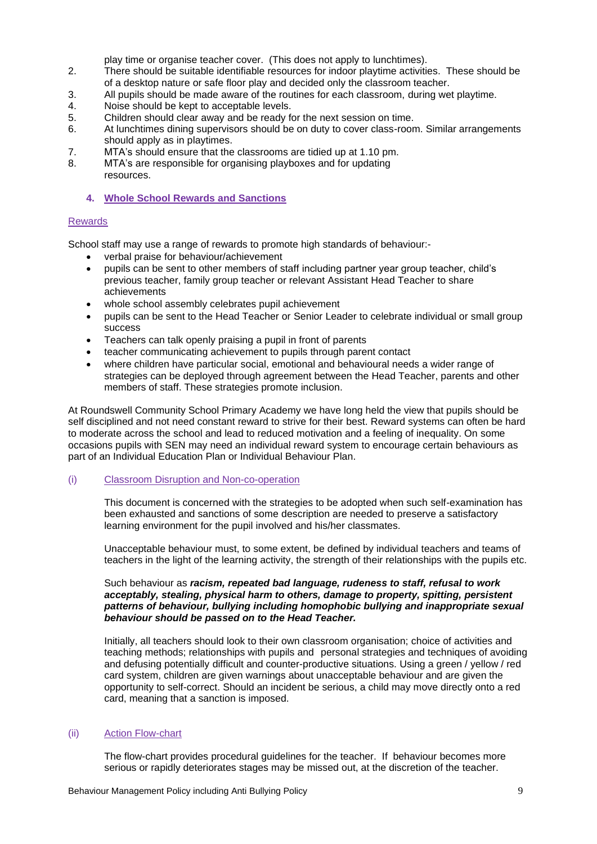play time or organise teacher cover. (This does not apply to lunchtimes).

- 2. There should be suitable identifiable resources for indoor playtime activities. These should be of a desktop nature or safe floor play and decided only the classroom teacher.
- 3. All pupils should be made aware of the routines for each classroom, during wet playtime.
- 4. Noise should be kept to acceptable levels.
- 5. Children should clear away and be ready for the next session on time.
- 6. At lunchtimes dining supervisors should be on duty to cover class-room. Similar arrangements should apply as in playtimes.
- 7. MTA's should ensure that the classrooms are tidied up at 1.10 pm.<br>8. MTA's are responsible for organising playboxes and for updating
- MTA's are responsible for organising playboxes and for updating resources.
	- **4. Whole School Rewards and Sanctions**

### Rewards

School staff may use a range of rewards to promote high standards of behaviour:-

- verbal praise for behaviour/achievement
- pupils can be sent to other members of staff including partner year group teacher, child's previous teacher, family group teacher or relevant Assistant Head Teacher to share achievements
- whole school assembly celebrates pupil achievement
- pupils can be sent to the Head Teacher or Senior Leader to celebrate individual or small group success
- Teachers can talk openly praising a pupil in front of parents
- teacher communicating achievement to pupils through parent contact
- where children have particular social, emotional and behavioural needs a wider range of strategies can be deployed through agreement between the Head Teacher, parents and other members of staff. These strategies promote inclusion.

At Roundswell Community School Primary Academy we have long held the view that pupils should be self disciplined and not need constant reward to strive for their best. Reward systems can often be hard to moderate across the school and lead to reduced motivation and a feeling of inequality. On some occasions pupils with SEN may need an individual reward system to encourage certain behaviours as part of an Individual Education Plan or Individual Behaviour Plan.

### (i) Classroom Disruption and Non-co-operation

This document is concerned with the strategies to be adopted when such self-examination has been exhausted and sanctions of some description are needed to preserve a satisfactory learning environment for the pupil involved and his/her classmates.

Unacceptable behaviour must, to some extent, be defined by individual teachers and teams of teachers in the light of the learning activity, the strength of their relationships with the pupils etc.

### Such behaviour as *racism, repeated bad language, rudeness to staff, refusal to work acceptably, stealing, physical harm to others, damage to property, spitting, persistent patterns of behaviour, bullying including homophobic bullying and inappropriate sexual behaviour should be passed on to the Head Teacher.*

Initially, all teachers should look to their own classroom organisation; choice of activities and teaching methods; relationships with pupils and personal strategies and techniques of avoiding and defusing potentially difficult and counter-productive situations. Using a green / yellow / red card system, children are given warnings about unacceptable behaviour and are given the opportunity to self-correct. Should an incident be serious, a child may move directly onto a red card, meaning that a sanction is imposed.

### (ii) Action Flow-chart

The flow-chart provides procedural guidelines for the teacher. If behaviour becomes more serious or rapidly deteriorates stages may be missed out, at the discretion of the teacher.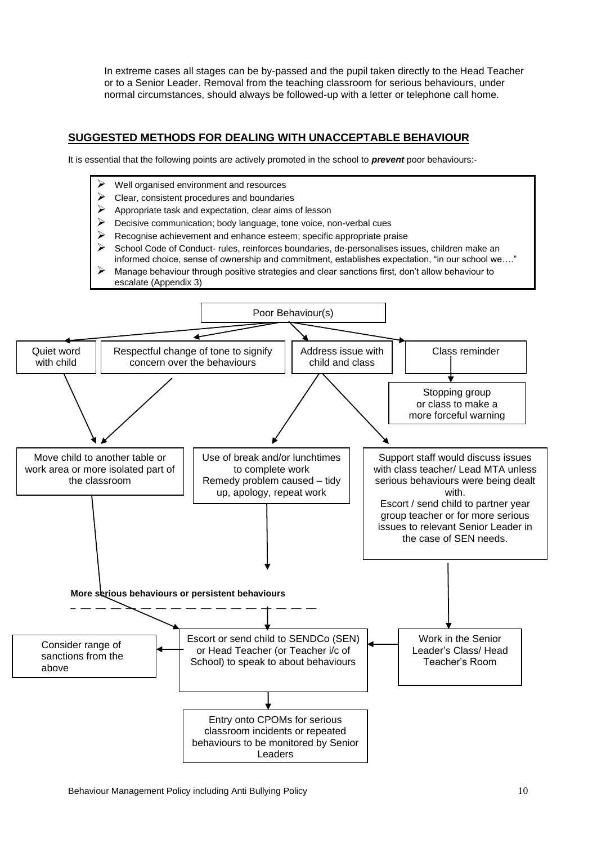In extreme cases all stages can be by-passed and the pupil taken directly to the Head Teacher or to a Senior Leader. Removal from the teaching classroom for serious behaviours, under normal circumstances, should always be followed-up with a letter or telephone call home.

### **SUGGESTED METHODS FOR DEALING WITH UNACCEPTABLE BEHAVIOUR**

It is essential that the following points are actively promoted in the school to *prevent* poor behaviours:-

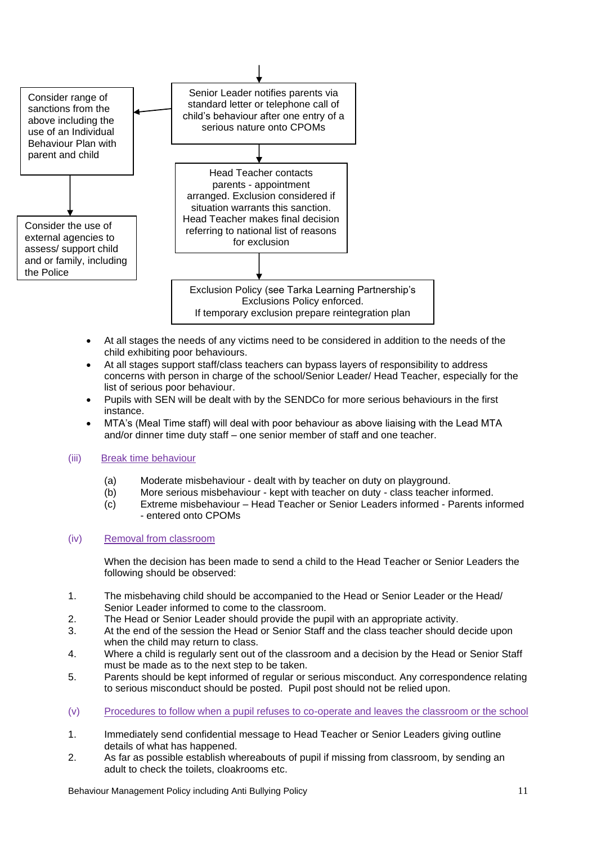

- At all stages the needs of any victims need to be considered in addition to the needs of the child exhibiting poor behaviours.
- At all stages support staff/class teachers can bypass layers of responsibility to address concerns with person in charge of the school/Senior Leader/ Head Teacher, especially for the list of serious poor behaviour.
- Pupils with SEN will be dealt with by the SENDCo for more serious behaviours in the first instance.
- MTA's (Meal Time staff) will deal with poor behaviour as above liaising with the Lead MTA and/or dinner time duty staff – one senior member of staff and one teacher.

### (iii) Break time behaviour

- (a) Moderate misbehaviour dealt with by teacher on duty on playground.
- (b) More serious misbehaviour kept with teacher on duty class teacher informed.
- (c) Extreme misbehaviour Head Teacher or Senior Leaders informed Parents informed - entered onto CPOMs

### (iv) Removal from classroom

When the decision has been made to send a child to the Head Teacher or Senior Leaders the following should be observed:

- 1. The misbehaving child should be accompanied to the Head or Senior Leader or the Head/ Senior Leader informed to come to the classroom.
- 2. The Head or Senior Leader should provide the pupil with an appropriate activity.
- 3. At the end of the session the Head or Senior Staff and the class teacher should decide upon when the child may return to class.
- 4. Where a child is regularly sent out of the classroom and a decision by the Head or Senior Staff must be made as to the next step to be taken.
- 5. Parents should be kept informed of regular or serious misconduct. Any correspondence relating to serious misconduct should be posted. Pupil post should not be relied upon.
- (v) Procedures to follow when a pupil refuses to co-operate and leaves the classroom or the school
- 1. Immediately send confidential message to Head Teacher or Senior Leaders giving outline details of what has happened.
- 2. As far as possible establish whereabouts of pupil if missing from classroom, by sending an adult to check the toilets, cloakrooms etc.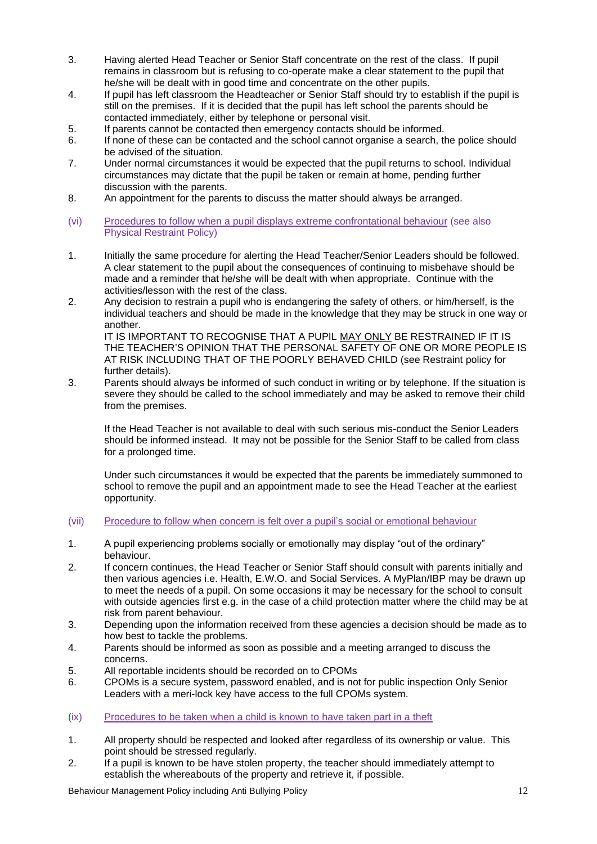- 3. Having alerted Head Teacher or Senior Staff concentrate on the rest of the class. If pupil remains in classroom but is refusing to co-operate make a clear statement to the pupil that he/she will be dealt with in good time and concentrate on the other pupils.
- 4. If pupil has left classroom the Headteacher or Senior Staff should try to establish if the pupil is still on the premises. If it is decided that the pupil has left school the parents should be contacted immediately, either by telephone or personal visit.
- 5. If parents cannot be contacted then emergency contacts should be informed.
- 6. If none of these can be contacted and the school cannot organise a search, the police should be advised of the situation.
- 7. Under normal circumstances it would be expected that the pupil returns to school. Individual circumstances may dictate that the pupil be taken or remain at home, pending further discussion with the parents.
- 8. An appointment for the parents to discuss the matter should always be arranged.
- (vi) Procedures to follow when a pupil displays extreme confrontational behaviour (see also Physical Restraint Policy)
- 1. Initially the same procedure for alerting the Head Teacher/Senior Leaders should be followed. A clear statement to the pupil about the consequences of continuing to misbehave should be made and a reminder that he/she will be dealt with when appropriate. Continue with the activities/lesson with the rest of the class.
- 2. Any decision to restrain a pupil who is endangering the safety of others, or him/herself, is the individual teachers and should be made in the knowledge that they may be struck in one way or another. IT IS IMPORTANT TO RECOGNISE THAT A PUPIL MAY ONLY BE RESTRAINED IF IT IS THE TEACHER'S OPINION THAT THE PERSONAL SAFETY OF ONE OR MORE PEOPLE IS AT RISK INCLUDING THAT OF THE POORLY BEHAVED CHILD (see Restraint policy for
- further details). 3. Parents should always be informed of such conduct in writing or by telephone. If the situation is severe they should be called to the school immediately and may be asked to remove their child from the premises.

If the Head Teacher is not available to deal with such serious mis-conduct the Senior Leaders should be informed instead. It may not be possible for the Senior Staff to be called from class for a prolonged time.

Under such circumstances it would be expected that the parents be immediately summoned to school to remove the pupil and an appointment made to see the Head Teacher at the earliest opportunity.

- (vii) Procedure to follow when concern is felt over a pupil's social or emotional behaviour
- 1. A pupil experiencing problems socially or emotionally may display "out of the ordinary" behaviour.
- 2. If concern continues, the Head Teacher or Senior Staff should consult with parents initially and then various agencies i.e. Health, E.W.O. and Social Services. A MyPlan/IBP may be drawn up to meet the needs of a pupil. On some occasions it may be necessary for the school to consult with outside agencies first e.g. in the case of a child protection matter where the child may be at risk from parent behaviour.
- 3. Depending upon the information received from these agencies a decision should be made as to how best to tackle the problems.
- 4. Parents should be informed as soon as possible and a meeting arranged to discuss the concerns.
- 5. All reportable incidents should be recorded on to CPOMs
- 6. CPOMs is a secure system, password enabled, and is not for public inspection Only Senior Leaders with a meri-lock key have access to the full CPOMs system.
- (ix) Procedures to be taken when a child is known to have taken part in a theft
- 1. All property should be respected and looked after regardless of its ownership or value. This point should be stressed regularly.
- 2. If a pupil is known to be have stolen property, the teacher should immediately attempt to establish the whereabouts of the property and retrieve it, if possible.

Behaviour Management Policy including Anti Bullying Policy 12 12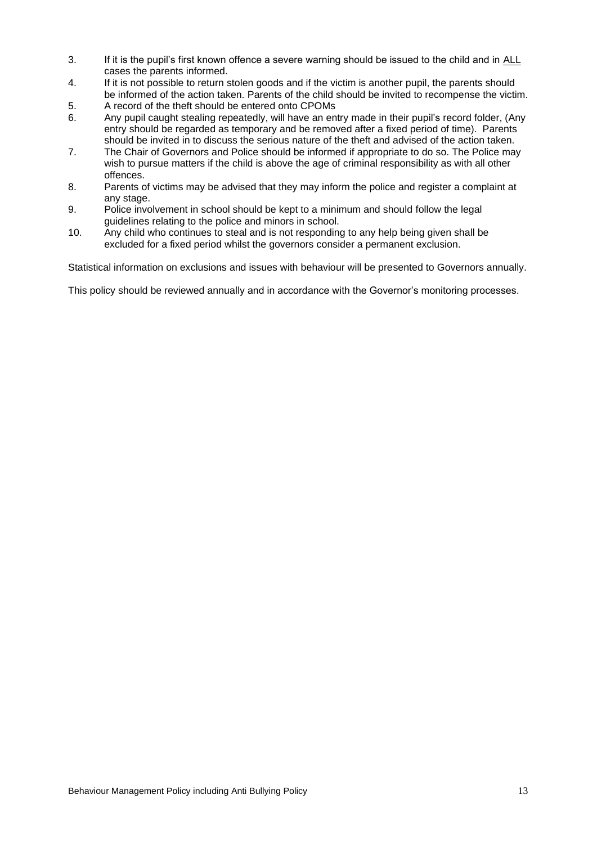- 3. If it is the pupil's first known offence a severe warning should be issued to the child and in ALL cases the parents informed.
- 4. If it is not possible to return stolen goods and if the victim is another pupil, the parents should be informed of the action taken. Parents of the child should be invited to recompense the victim.
- 5. A record of the theft should be entered onto CPOMs
- 6. Any pupil caught stealing repeatedly, will have an entry made in their pupil's record folder, (Any entry should be regarded as temporary and be removed after a fixed period of time). Parents should be invited in to discuss the serious nature of the theft and advised of the action taken.
- 7. The Chair of Governors and Police should be informed if appropriate to do so. The Police may wish to pursue matters if the child is above the age of criminal responsibility as with all other offences.
- 8. Parents of victims may be advised that they may inform the police and register a complaint at any stage.
- 9. Police involvement in school should be kept to a minimum and should follow the legal guidelines relating to the police and minors in school.
- 10. Any child who continues to steal and is not responding to any help being given shall be excluded for a fixed period whilst the governors consider a permanent exclusion.

Statistical information on exclusions and issues with behaviour will be presented to Governors annually.

This policy should be reviewed annually and in accordance with the Governor's monitoring processes.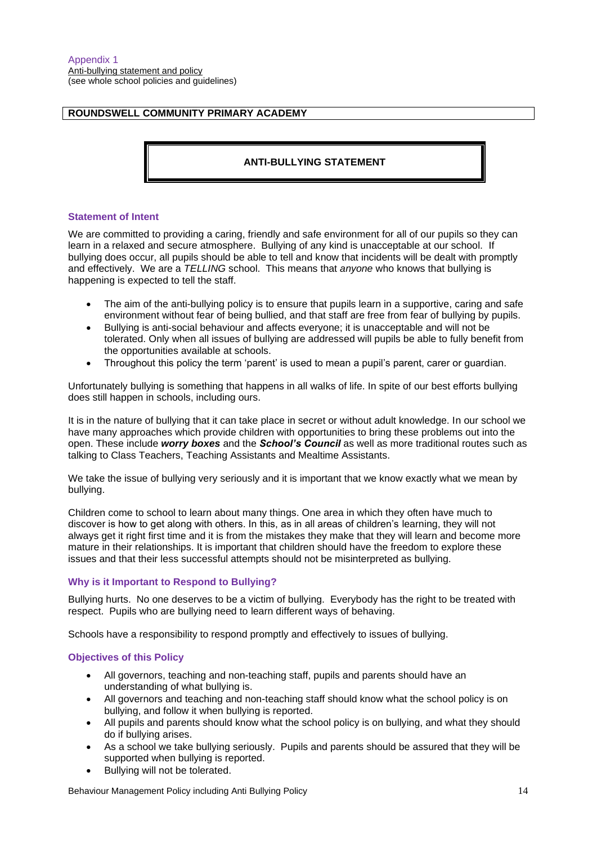### **ROUNDSWELL COMMUNITY PRIMARY ACADEMY**

### **ANTI-BULLYING STATEMENT**

### **Statement of Intent**

We are committed to providing a caring, friendly and safe environment for all of our pupils so they can learn in a relaxed and secure atmosphere. Bullying of any kind is unacceptable at our school. If bullying does occur, all pupils should be able to tell and know that incidents will be dealt with promptly and effectively. We are a *TELLING* school. This means that *anyone* who knows that bullying is happening is expected to tell the staff.

- The aim of the anti-bullying policy is to ensure that pupils learn in a supportive, caring and safe environment without fear of being bullied, and that staff are free from fear of bullying by pupils.
- Bullying is anti-social behaviour and affects everyone; it is unacceptable and will not be tolerated. Only when all issues of bullying are addressed will pupils be able to fully benefit from the opportunities available at schools.
- Throughout this policy the term 'parent' is used to mean a pupil's parent, carer or guardian.

Unfortunately bullying is something that happens in all walks of life. In spite of our best efforts bullying does still happen in schools, including ours.

It is in the nature of bullying that it can take place in secret or without adult knowledge. In our school we have many approaches which provide children with opportunities to bring these problems out into the open. These include *worry boxes* and the *School's Council* as well as more traditional routes such as talking to Class Teachers, Teaching Assistants and Mealtime Assistants.

We take the issue of bullying very seriously and it is important that we know exactly what we mean by bullying.

Children come to school to learn about many things. One area in which they often have much to discover is how to get along with others. In this, as in all areas of children's learning, they will not always get it right first time and it is from the mistakes they make that they will learn and become more mature in their relationships. It is important that children should have the freedom to explore these issues and that their less successful attempts should not be misinterpreted as bullying.

### **Why is it Important to Respond to Bullying?**

Bullying hurts. No one deserves to be a victim of bullying. Everybody has the right to be treated with respect. Pupils who are bullying need to learn different ways of behaving.

Schools have a responsibility to respond promptly and effectively to issues of bullying.

### **Objectives of this Policy**

- All governors, teaching and non-teaching staff, pupils and parents should have an understanding of what bullying is.
- All governors and teaching and non-teaching staff should know what the school policy is on bullying, and follow it when bullying is reported.
- All pupils and parents should know what the school policy is on bullying, and what they should do if bullying arises.
- As a school we take bullying seriously. Pupils and parents should be assured that they will be supported when bullying is reported.
- Bullying will not be tolerated.

Behaviour Management Policy including Anti Bullying Policy 14 14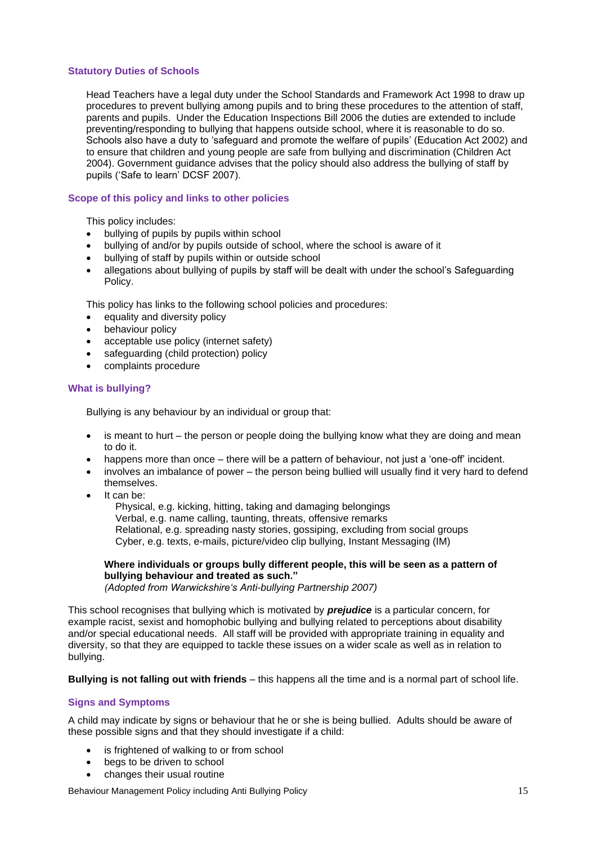### **Statutory Duties of Schools**

Head Teachers have a legal duty under the School Standards and Framework Act 1998 to draw up procedures to prevent bullying among pupils and to bring these procedures to the attention of staff, parents and pupils. Under the Education Inspections Bill 2006 the duties are extended to include preventing/responding to bullying that happens outside school, where it is reasonable to do so. Schools also have a duty to 'safeguard and promote the welfare of pupils' (Education Act 2002) and to ensure that children and young people are safe from bullying and discrimination (Children Act 2004). Government guidance advises that the policy should also address the bullying of staff by pupils ('Safe to learn' DCSF 2007).

### **Scope of this policy and links to other policies**

This policy includes:

- bullying of pupils by pupils within school
- bullying of and/or by pupils outside of school, where the school is aware of it
- bullying of staff by pupils within or outside school
- allegations about bullying of pupils by staff will be dealt with under the school's Safeguarding Policy.

This policy has links to the following school policies and procedures:

- equality and diversity policy
- behaviour policy
- acceptable use policy (internet safety)
- safeguarding (child protection) policy
- complaints procedure

### **What is bullying?**

Bullying is any behaviour by an individual or group that:

- is meant to hurt the person or people doing the bullying know what they are doing and mean to do it.
- happens more than once there will be a pattern of behaviour, not just a 'one-off' incident.
- involves an imbalance of power the person being bullied will usually find it very hard to defend themselves.
- It can be:

 Physical, e.g. kicking, hitting, taking and damaging belongings Verbal, e.g. name calling, taunting, threats, offensive remarks Relational, e.g. spreading nasty stories, gossiping, excluding from social groups Cyber, e.g. texts, e-mails, picture/video clip bullying, Instant Messaging (IM)

### **Where individuals or groups bully different people, this will be seen as a pattern of bullying behaviour and treated as such."**

*(Adopted from Warwickshire's Anti-bullying Partnership 2007)*

This school recognises that bullying which is motivated by *prejudice* is a particular concern, for example racist, sexist and homophobic bullying and bullying related to perceptions about disability and/or special educational needs. All staff will be provided with appropriate training in equality and diversity, so that they are equipped to tackle these issues on a wider scale as well as in relation to bullying.

**Bullying is not falling out with friends** – this happens all the time and is a normal part of school life.

### **Signs and Symptoms**

A child may indicate by signs or behaviour that he or she is being bullied. Adults should be aware of these possible signs and that they should investigate if a child:

- is frightened of walking to or from school
- begs to be driven to school
- changes their usual routine

Behaviour Management Policy including Anti Bullying Policy 15 15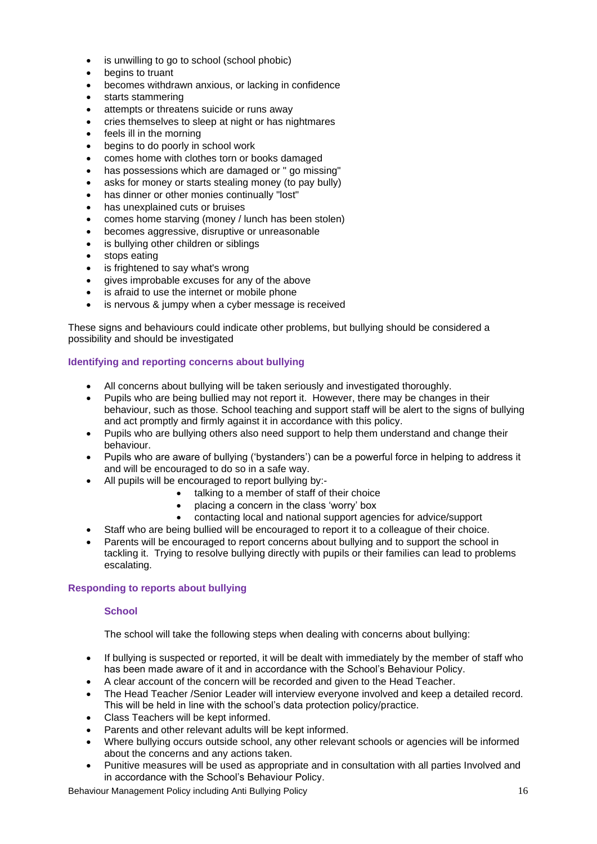- is unwilling to go to school (school phobic)
- begins to truant
- becomes withdrawn anxious, or lacking in confidence
- starts stammering
- attempts or threatens suicide or runs away
- cries themselves to sleep at night or has nightmares
- feels ill in the morning
- begins to do poorly in school work
- comes home with clothes torn or books damaged
- has possessions which are damaged or " go missing"
- asks for money or starts stealing money (to pay bully)
- has dinner or other monies continually "lost"
- has unexplained cuts or bruises
- comes home starving (money / lunch has been stolen)
- becomes aggressive, disruptive or unreasonable
- is bullying other children or siblings
- stops eating
- is frightened to say what's wrong
- gives improbable excuses for any of the above
- is afraid to use the internet or mobile phone
- is nervous & jumpy when a cyber message is received

These signs and behaviours could indicate other problems, but bullying should be considered a possibility and should be investigated

### **Identifying and reporting concerns about bullying**

- All concerns about bullying will be taken seriously and investigated thoroughly.
- Pupils who are being bullied may not report it. However, there may be changes in their behaviour, such as those. School teaching and support staff will be alert to the signs of bullying and act promptly and firmly against it in accordance with this policy.
- Pupils who are bullying others also need support to help them understand and change their behaviour.
- Pupils who are aware of bullying ('bystanders') can be a powerful force in helping to address it and will be encouraged to do so in a safe way.
- All pupils will be encouraged to report bullying by:-
	- talking to a member of staff of their choice
	- placing a concern in the class 'worry' box
	- contacting local and national support agencies for advice/support
- Staff who are being bullied will be encouraged to report it to a colleague of their choice.
- Parents will be encouraged to report concerns about bullying and to support the school in tackling it. Trying to resolve bullying directly with pupils or their families can lead to problems escalating.

### **Responding to reports about bullying**

### **School**

The school will take the following steps when dealing with concerns about bullying:

- If bullying is suspected or reported, it will be dealt with immediately by the member of staff who has been made aware of it and in accordance with the School's Behaviour Policy.
- A clear account of the concern will be recorded and given to the Head Teacher.
- The Head Teacher /Senior Leader will interview everyone involved and keep a detailed record. This will be held in line with the school's data protection policy/practice.
- Class Teachers will be kept informed.
- Parents and other relevant adults will be kept informed.
- Where bullying occurs outside school, any other relevant schools or agencies will be informed about the concerns and any actions taken.
- Punitive measures will be used as appropriate and in consultation with all parties Involved and in accordance with the School's Behaviour Policy.

Behaviour Management Policy including Anti Bullying Policy 16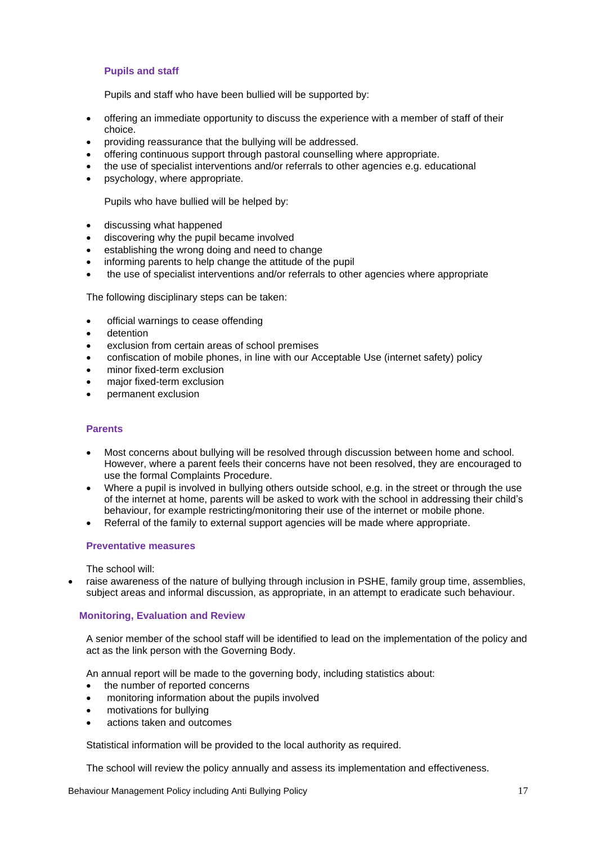### **Pupils and staff**

Pupils and staff who have been bullied will be supported by:

- offering an immediate opportunity to discuss the experience with a member of staff of their choice.
- providing reassurance that the bullying will be addressed.
- offering continuous support through pastoral counselling where appropriate.
- the use of specialist interventions and/or referrals to other agencies e.g. educational
- psychology, where appropriate.

Pupils who have bullied will be helped by:

- discussing what happened
- discovering why the pupil became involved
- establishing the wrong doing and need to change
- informing parents to help change the attitude of the pupil
- the use of specialist interventions and/or referrals to other agencies where appropriate

The following disciplinary steps can be taken:

- official warnings to cease offending
- detention
- exclusion from certain areas of school premises
- confiscation of mobile phones, in line with our Acceptable Use (internet safety) policy
- minor fixed-term exclusion
- major fixed-term exclusion
- permanent exclusion

### **Parents**

- Most concerns about bullying will be resolved through discussion between home and school. However, where a parent feels their concerns have not been resolved, they are encouraged to use the formal Complaints Procedure.
- Where a pupil is involved in bullying others outside school, e.g. in the street or through the use of the internet at home, parents will be asked to work with the school in addressing their child's behaviour, for example restricting/monitoring their use of the internet or mobile phone.
- Referral of the family to external support agencies will be made where appropriate.

### **Preventative measures**

The school will:

raise awareness of the nature of bullying through inclusion in PSHE, family group time, assemblies, subject areas and informal discussion, as appropriate, in an attempt to eradicate such behaviour.

### **Monitoring, Evaluation and Review**

A senior member of the school staff will be identified to lead on the implementation of the policy and act as the link person with the Governing Body.

An annual report will be made to the governing body, including statistics about:

- the number of reported concerns
- monitoring information about the pupils involved
- motivations for bullying
- actions taken and outcomes

Statistical information will be provided to the local authority as required.

The school will review the policy annually and assess its implementation and effectiveness.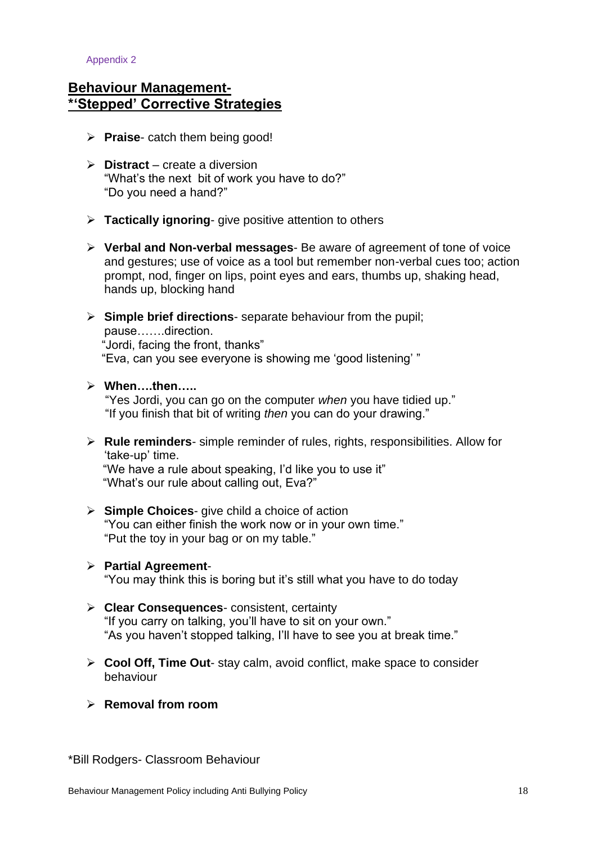Appendix 2

## **Behaviour Management- \*'Stepped' Corrective Strategies**

- ➢ **Praise** catch them being good!
- ➢ **Distract** create a diversion "What's the next bit of work you have to do?" "Do you need a hand?"
- ➢ **Tactically ignoring** give positive attention to others
- ➢ **Verbal and Non-verbal messages** Be aware of agreement of tone of voice and gestures; use of voice as a tool but remember non-verbal cues too; action prompt, nod, finger on lips, point eyes and ears, thumbs up, shaking head, hands up, blocking hand
- ➢ **Simple brief directions** separate behaviour from the pupil; pause…….direction. "Jordi, facing the front, thanks" "Eva, can you see everyone is showing me 'good listening' "
- ➢ **When….then…..**

 "Yes Jordi, you can go on the computer *when* you have tidied up." "If you finish that bit of writing *then* you can do your drawing."

➢ **Rule reminders**- simple reminder of rules, rights, responsibilities. Allow for 'take-up' time.

 "We have a rule about speaking, I'd like you to use it" "What's our rule about calling out, Eva?"

- ➢ **Simple Choices** give child a choice of action "You can either finish the work now or in your own time." "Put the toy in your bag or on my table."
- ➢ **Partial Agreement** "You may think this is boring but it's still what you have to do today
- ➢ **Clear Consequences** consistent, certainty "If you carry on talking, you'll have to sit on your own." "As you haven't stopped talking, I'll have to see you at break time."
- ➢ **Cool Off, Time Out** stay calm, avoid conflict, make space to consider behaviour
- ➢ **Removal from room**

\*Bill Rodgers- Classroom Behaviour